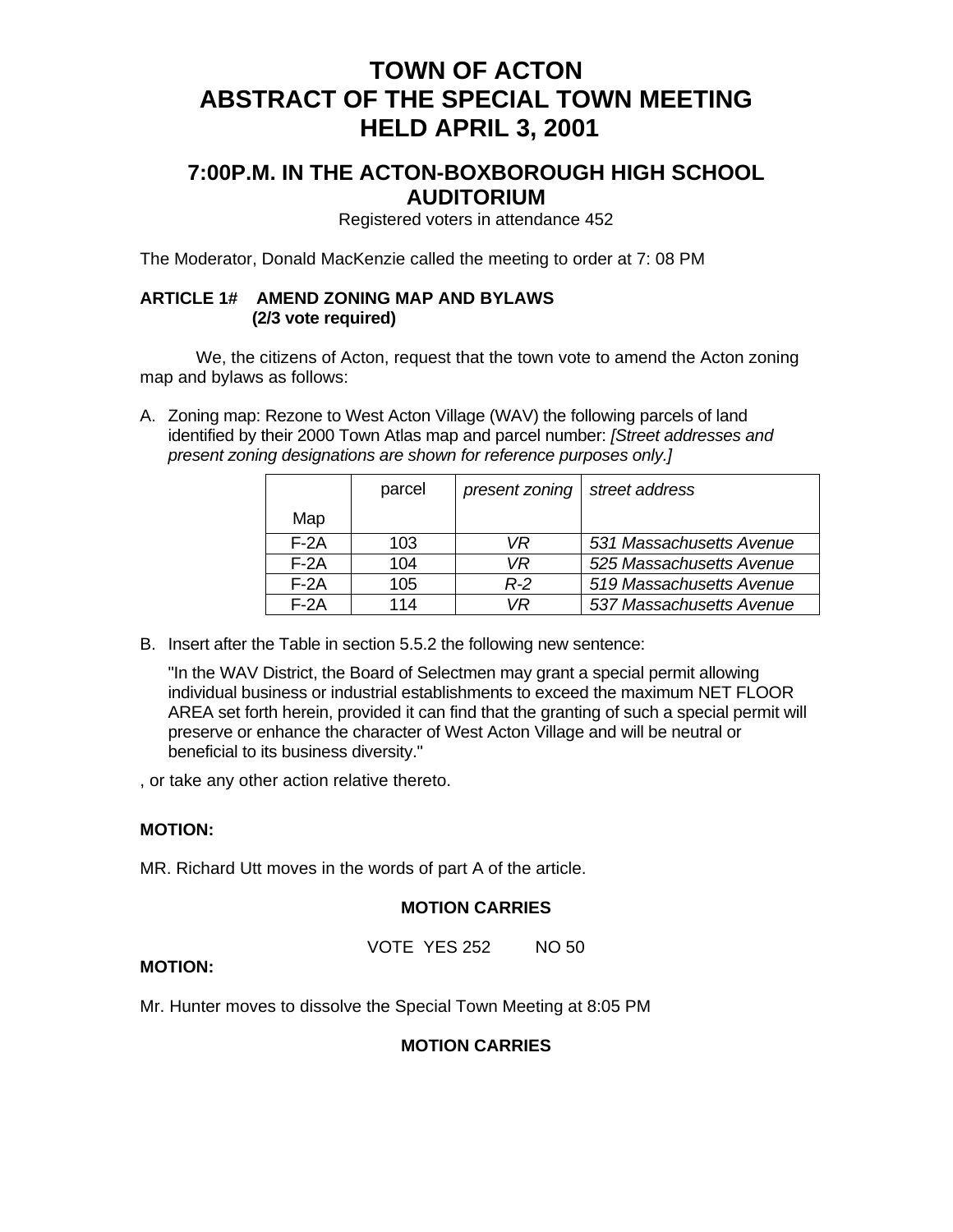# **TOWN OF ACTON ABSTRACT OF THE SPECIAL TOWN MEETING HELD APRIL 3, 2001**

# **7:00P.M. IN THE ACTON-BOXBOROUGH HIGH SCHOOL AUDITORIUM**

Registered voters in attendance 452

The Moderator, Donald MacKenzie called the meeting to order at 7: 08 PM

### **ARTICLE 1# AMEND ZONING MAP AND BYLAWS (2/3 vote required)**

 We, the citizens of Acton, request that the town vote to amend the Acton zoning map and bylaws as follows:

A. Zoning map: Rezone to West Acton Village (WAV) the following parcels of land identified by their 2000 Town Atlas map and parcel number: *[Street addresses and present zoning designations are shown for reference purposes only.]*

|        | parcel | present zoning | street address           |
|--------|--------|----------------|--------------------------|
| Map    |        |                |                          |
| $F-2A$ | 103    | VR             | 531 Massachusetts Avenue |
| $F-2A$ | 104    | VR             | 525 Massachusetts Avenue |
| $F-2A$ | 105    | $R-2$          | 519 Massachusetts Avenue |
| $F-2A$ | 114    | VR             | 537 Massachusetts Avenue |

B. Insert after the Table in section 5.5.2 the following new sentence:

"In the WAV District, the Board of Selectmen may grant a special permit allowing individual business or industrial establishments to exceed the maximum NET FLOOR AREA set forth herein, provided it can find that the granting of such a special permit will preserve or enhance the character of West Acton Village and will be neutral or beneficial to its business diversity."

, or take any other action relative thereto.

# **MOTION:**

MR. Richard Utt moves in the words of part A of the article.

#### **MOTION CARRIES**

VOTE YES 252 NO 50

# **MOTION:**

Mr. Hunter moves to dissolve the Special Town Meeting at 8:05 PM

### **MOTION CARRIES**